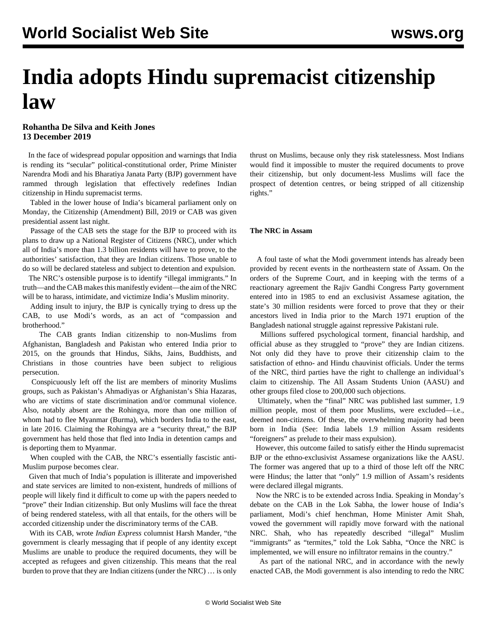## **India adopts Hindu supremacist citizenship law**

## **Rohantha De Silva and Keith Jones 13 December 2019**

 In the face of widespread popular opposition and warnings that India is rending its "secular" political-constitutional order, Prime Minister Narendra Modi and his Bharatiya Janata Party (BJP) government have rammed through legislation that effectively redefines Indian citizenship in Hindu supremacist terms.

 Tabled in the lower house of India's bicameral parliament only on Monday, the Citizenship (Amendment) Bill, 2019 or CAB was given presidential assent last night.

 Passage of the CAB sets the stage for the BJP to proceed with its plans to draw up a National Register of Citizens (NRC), under which all of India's more than 1.3 billion residents will have to prove, to the authorities' satisfaction, that they are Indian citizens. Those unable to do so will be declared stateless and subject to detention and expulsion.

 The NRC's ostensible purpose is to identify "illegal immigrants." In truth—and the CAB makes this manifestly evident—the aim of the NRC will be to harass, intimidate, and victimize India's Muslim minority.

 Adding insult to injury, the BJP is cynically trying to dress up the CAB, to use Modi's words, as an act of "compassion and brotherhood."

 The CAB grants Indian citizenship to non-Muslims from Afghanistan, Bangladesh and Pakistan who entered India prior to 2015, on the grounds that Hindus, Sikhs, Jains, Buddhists, and Christians in those countries have been subject to religious persecution.

 Conspicuously left off the list are members of minority Muslims groups, such as Pakistan's Ahmadiyas or Afghanistan's Shia Hazaras, who are victims of state discrimination and/or communal violence. Also, notably absent are the Rohingya, more than one million of whom had to flee Myanmar (Burma), which borders India to the east, in late 2016. Claiming the Rohingya are a "security threat," the BJP government has held those that fled into India in detention camps and is deporting them to Myanmar.

 When coupled with the CAB, the NRC's essentially fascistic anti-Muslim purpose becomes clear.

 Given that much of India's population is illiterate and impoverished and state services are limited to non-existent, hundreds of millions of people will likely find it difficult to come up with the papers needed to "prove" their Indian citizenship. But only Muslims will face the threat of being rendered stateless, with all that entails, for the others will be accorded citizenship under the discriminatory terms of the CAB.

 With its CAB, wrote *Indian Express* columnist Harsh Mander, "the government is clearly messaging that if people of any identity except Muslims are unable to produce the required documents, they will be accepted as refugees and given citizenship. This means that the real burden to prove that they are Indian citizens (under the NRC) … is only thrust on Muslims, because only they risk statelessness. Most Indians would find it impossible to muster the required documents to prove their citizenship, but only document-less Muslims will face the prospect of detention centres, or being stripped of all citizenship rights."

## **The NRC in Assam**

 A foul taste of what the Modi government intends has already been provided by recent events in the northeastern state of Assam. On the orders of the Supreme Court, and in keeping with the terms of a reactionary agreement the Rajiv Gandhi Congress Party government entered into in 1985 to end an exclusivist Assamese agitation, the state's 30 million residents were forced to prove that they or their ancestors lived in India prior to the March 1971 eruption of the Bangladesh national struggle against repressive Pakistani rule.

 Millions suffered psychological torment, financial hardship, and official abuse as they struggled to "prove" they are Indian citizens. Not only did they have to prove their citizenship claim to the satisfaction of ethno- and Hindu chauvinist officials. Under the terms of the NRC, third parties have the right to challenge an individual's claim to citizenship. The All Assam Students Union (AASU) and other groups filed close to 200,000 such objections.

 Ultimately, when the "final" NRC was published last summer, 1.9 million people, most of them poor Muslims, were excluded—i.e., deemed non-citizens. Of these, the overwhelming majority had been born in India (See: [India labels 1.9 million Assam residents](/en/articles/2019/09/05/inrc-s05.html) ["foreigners" as prelude to their mass expulsion\)](/en/articles/2019/09/05/inrc-s05.html).

 However, this outcome failed to satisfy either the Hindu supremacist BJP or the ethno-exclusivist Assamese organizations like the AASU. The former was angered that up to a third of those left off the NRC were Hindus; the latter that "only" 1.9 million of Assam's residents were declared illegal migrants.

 Now the NRC is to be extended across India. Speaking in Monday's debate on the CAB in the Lok Sabha, the lower house of India's parliament, Modi's chief henchman, Home Minister Amit Shah, vowed the government will rapidly move forward with the national NRC. Shah, who has repeatedly described "illegal" Muslim "immigrants" as "termites," told the Lok Sabha, "Once the NRC is implemented, we will ensure no infiltrator remains in the country."

 As part of the national NRC, and in accordance with the newly enacted CAB, the Modi government is also intending to redo the NRC